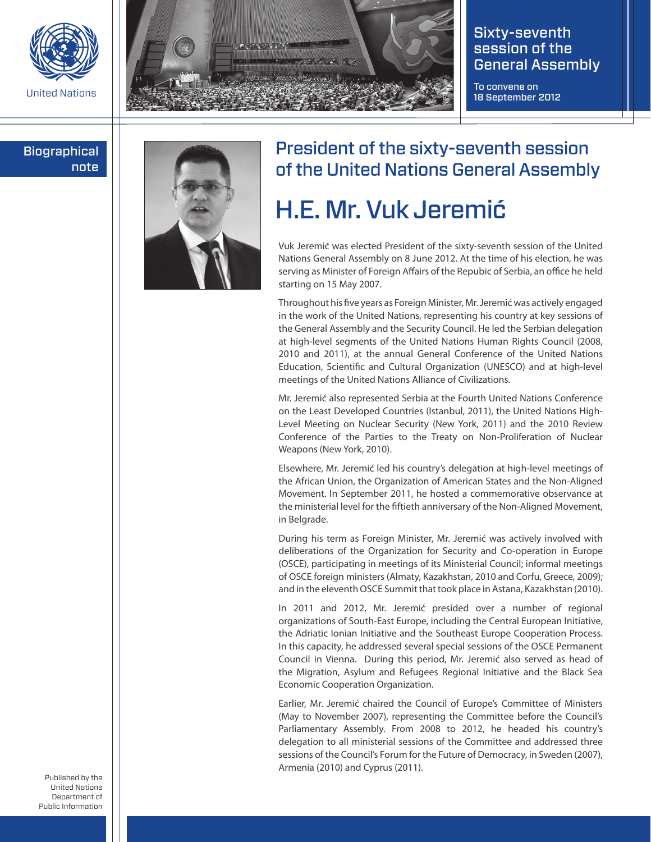



## Sixty-seventh session of the General Assembly

To convene on 18 September 2012

## **Biographical** note



## President of the sixty-seventh session of the United Nations General Assembly

## H.E. Mr. Vuk Jeremić

Vuk Jeremić was elected President of the sixty-seventh session of the United Nations General Assembly on 8 June 2012. At the time of his election, he was serving as Minister of Foreign Affairs of the Repubic of Serbia, an office he held starting on 15 May 2007.

Throughout his five years as Foreign Minister, Mr. Jeremić was actively engaged in the work of the United Nations, representing his country at key sessions of the General Assembly and the Security Council. He led the Serbian delegation at high-level segments of the United Nations Human Rights Council (2008, 2010 and 2011), at the annual General Conference of the United Nations Education, Scientific and Cultural Organization (UNESCO) and at high-level meetings of the United Nations Alliance of Civilizations.

Mr. Jeremić also represented Serbia at the Fourth United Nations Conference on the Least Developed Countries (Istanbul, 2011), the United Nations High-Level Meeting on Nuclear Security (New York, 2011) and the 2010 Review Conference of the Parties to the Treaty on Non-Proliferation of Nuclear Weapons (New York, 2010).

Elsewhere, Mr. Jeremić led his country's delegation at high-level meetings of the African Union, the Organization of American States and the Non-Aligned Movement. In September 2011, he hosted a commemorative observance at the ministerial level for the fiftieth anniversary of the Non-Aligned Movement, in Belgrade.

During his term as Foreign Minister, Mr. Jeremić was actively involved with deliberations of the Organization for Security and Co-operation in Europe (OSCE), participating in meetings of its Ministerial Council; informal meetings of OSCE foreign ministers (Almaty, Kazakhstan, 2010 and Corfu, Greece, 2009); and in the eleventh OSCE Summit that took place in Astana, Kazakhstan (2010).

In 2011 and 2012, Mr. Jeremić presided over a number of regional organizations of South-East Europe, including the Central European Initiative, the Adriatic Ionian Initiative and the Southeast Europe Cooperation Process. In this capacity, he addressed several special sessions of the OSCE Permanent Council in Vienna. During this period, Mr. Jeremić also served as head of the Migration, Asylum and Refugees Regional Initiative and the Black Sea Economic Cooperation Organization.

Earlier, Mr. Jeremić chaired the Council of Europe's Committee of Ministers (May to November 2007), representing the Committee before the Council's Parliamentary Assembly. From 2008 to 2012, he headed his country's delegation to all ministerial sessions of the Committee and addressed three sessions of the Council's Forum for the Future of Democracy, in Sweden (2007), Armenia (2010) and Cyprus (2011).

Published by the United Nations Department of Public Information